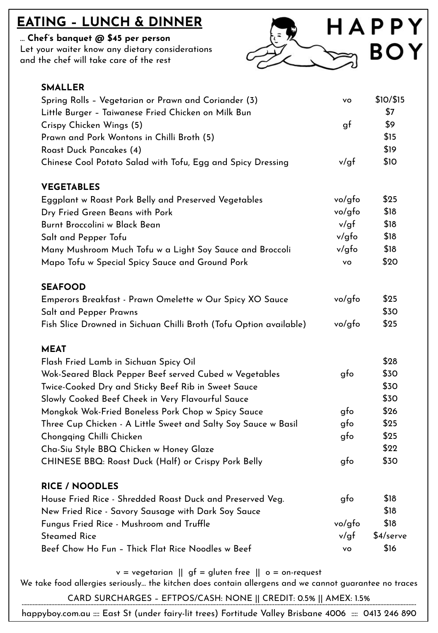## **EATING – LUNCH & DINNER**

#### … **Chef's banquet @ \$45 per person**

Let your waiter know any dietary considerations and the chef will take care of the rest



| <b>SMALLER</b>                                                     |              |             |
|--------------------------------------------------------------------|--------------|-------------|
| Spring Rolls - Vegetarian or Prawn and Coriander (3)               | vo           | \$10/\$15   |
| Little Burger - Taiwanese Fried Chicken on Milk Bun                |              | \$7         |
| Crispy Chicken Wings (5)                                           | gf           | \$9         |
| Prawn and Pork Wontons in Chilli Broth (5)                         |              | \$15        |
| Roast Duck Pancakes (4)                                            |              | \$19        |
| Chinese Cool Potato Salad with Tofu, Egg and Spicy Dressing        | v/gf         | \$10        |
| <b>VEGETABLES</b>                                                  |              |             |
| Eggplant w Roast Pork Belly and Preserved Vegetables               | vo/gfo       | \$25        |
| Dry Fried Green Beans with Pork                                    | vo/gfo       | \$18        |
| Burnt Broccolini w Black Bean                                      | v/gf         | \$18        |
| Salt and Pepper Tofu                                               | v/gfo        | \$18        |
| Many Mushroom Much Tofu w a Light Soy Sauce and Broccoli           | v/gfo        | \$18        |
| Mapo Tofu w Special Spicy Sauce and Ground Pork                    | vo           | \$20        |
| <b>SEAFOOD</b>                                                     |              |             |
| Emperors Breakfast - Prawn Omelette w Our Spicy XO Sauce           | vo/gfo       | \$25        |
| Salt and Pepper Prawns                                             |              | \$30        |
| Fish Slice Drowned in Sichuan Chilli Broth (Tofu Option available) | vo/gfo       | \$25        |
| <b>MEAT</b>                                                        |              |             |
| Flash Fried Lamb in Sichuan Spicy Oil                              |              | \$28        |
| Wok-Seared Black Pepper Beef served Cubed w Vegetables             | gfo          | \$30        |
| Twice-Cooked Dry and Sticky Beef Rib in Sweet Sauce                |              | \$30        |
| Slowly Cooked Beef Cheek in Very Flavourful Sauce                  |              | \$30        |
| Mongkok Wok-Fried Boneless Pork Chop w Spicy Sauce                 | gfo          | \$26        |
| Three Cup Chicken - A Little Sweet and Salty Soy Sauce w Basil     | gfo          | \$25        |
| Chongqing Chilli Chicken                                           | $_{\rm gfo}$ | \$25        |
| Cha-Siu Style BBQ Chicken w Honey Glaze                            |              | \$22        |
| CHINESE BBQ: Roast Duck (Half) or Crispy Pork Belly                | gfo          | \$30        |
| <b>RICE / NOODLES</b>                                              |              |             |
| House Fried Rice - Shredded Roast Duck and Preserved Veg.          | gto          | \$18        |
| New Fried Rice - Savory Sausage with Dark Soy Sauce                |              | \$18        |
| Fungus Fried Rice - Mushroom and Truffle                           | vo/gfo       | \$18        |
| <b>Steamed Rice</b>                                                | v/gf         | $$4/$ serve |
| Beef Chow Ho Fun - Thick Flat Rice Noodles w Beef                  | vo           | \$16        |

 $v = v$ egetarian  $||$  gf = gluten free  $||$  o = on-request

We take food allergies seriously… the kitchen does contain allergens and we cannot guarantee no traces

CARD SURCHARGES – EFTPOS/CASH: NONE || CREDIT: 0.5% || AMEX: 1.5% …………………………………………………………………………………………………………………………………..…………………………………………..………………………………………………

happyboy.com.au :::: East St (under fairy-lit trees) Fortitude Valley Brisbane 4006 :::: 0413 246 890